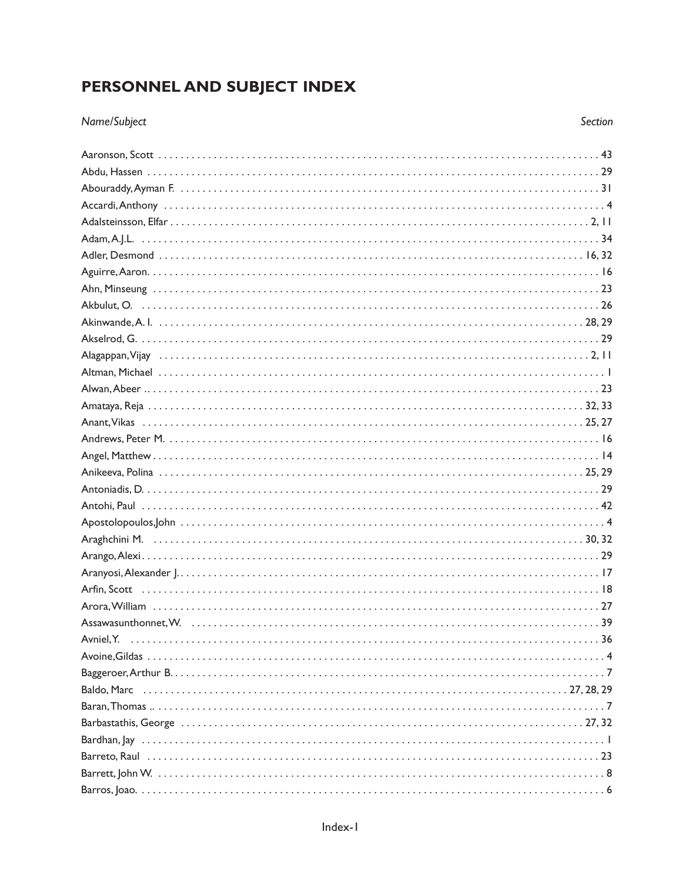## PERSONNEL AND SUBJECT INDEX

## Name/Subject

| Avniel, Y. |
|------------|
|            |
|            |
|            |
|            |
|            |
|            |
|            |
|            |
|            |

Section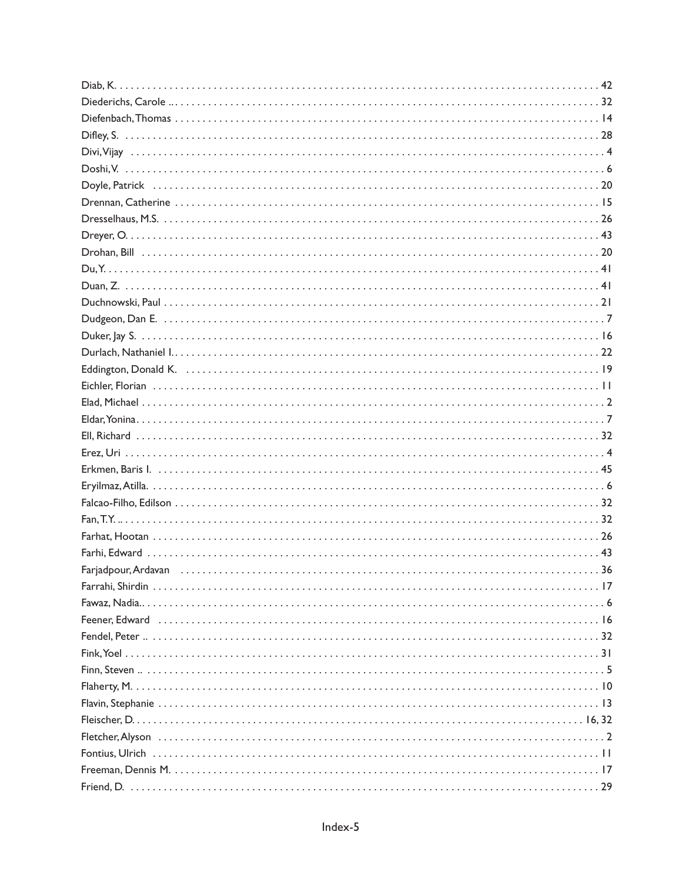| Eddington, Donald K. (a) and a control of the control of the control of the control of the control of the control of the control of the control of the control of the control of the control of the control of the control of |  |
|-------------------------------------------------------------------------------------------------------------------------------------------------------------------------------------------------------------------------------|--|
|                                                                                                                                                                                                                               |  |
|                                                                                                                                                                                                                               |  |
|                                                                                                                                                                                                                               |  |
|                                                                                                                                                                                                                               |  |
|                                                                                                                                                                                                                               |  |
|                                                                                                                                                                                                                               |  |
|                                                                                                                                                                                                                               |  |
|                                                                                                                                                                                                                               |  |
|                                                                                                                                                                                                                               |  |
|                                                                                                                                                                                                                               |  |
|                                                                                                                                                                                                                               |  |
|                                                                                                                                                                                                                               |  |
|                                                                                                                                                                                                                               |  |
|                                                                                                                                                                                                                               |  |
|                                                                                                                                                                                                                               |  |
|                                                                                                                                                                                                                               |  |
|                                                                                                                                                                                                                               |  |
|                                                                                                                                                                                                                               |  |
|                                                                                                                                                                                                                               |  |
|                                                                                                                                                                                                                               |  |
|                                                                                                                                                                                                                               |  |
|                                                                                                                                                                                                                               |  |
|                                                                                                                                                                                                                               |  |
|                                                                                                                                                                                                                               |  |
|                                                                                                                                                                                                                               |  |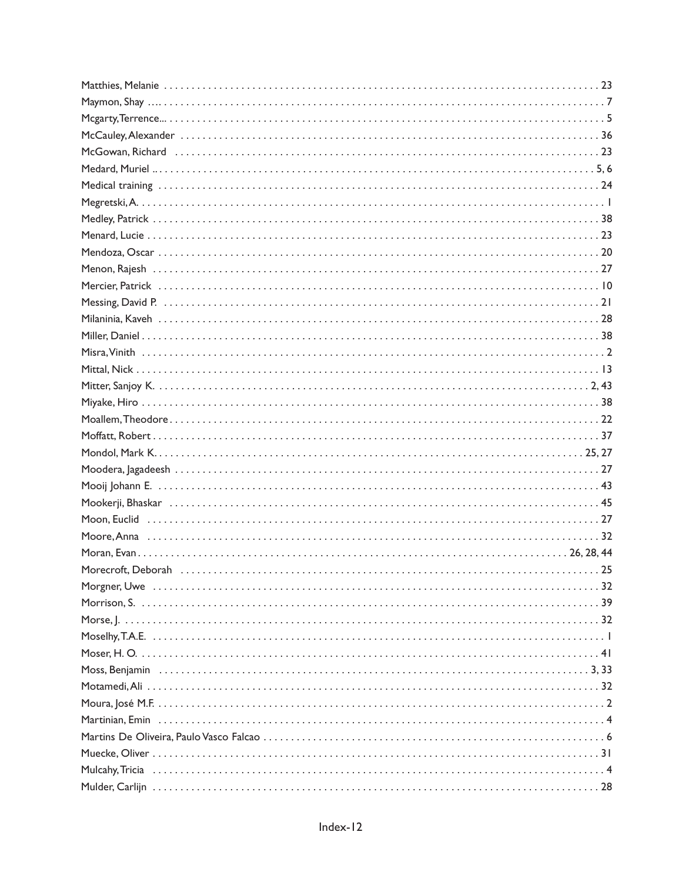| McGowan, Richard (and accommunication of the contract of the contract of the contract of the contract of the c                                                                                                                |
|-------------------------------------------------------------------------------------------------------------------------------------------------------------------------------------------------------------------------------|
|                                                                                                                                                                                                                               |
|                                                                                                                                                                                                                               |
|                                                                                                                                                                                                                               |
|                                                                                                                                                                                                                               |
|                                                                                                                                                                                                                               |
|                                                                                                                                                                                                                               |
|                                                                                                                                                                                                                               |
| Mercier, Patrick is a construction of the construction of the construction of the construction of the construction of the construction of the construction of the construction of the construction of the construction of the |
|                                                                                                                                                                                                                               |
|                                                                                                                                                                                                                               |
|                                                                                                                                                                                                                               |
|                                                                                                                                                                                                                               |
|                                                                                                                                                                                                                               |
|                                                                                                                                                                                                                               |
|                                                                                                                                                                                                                               |
|                                                                                                                                                                                                                               |
|                                                                                                                                                                                                                               |
|                                                                                                                                                                                                                               |
|                                                                                                                                                                                                                               |
|                                                                                                                                                                                                                               |
|                                                                                                                                                                                                                               |
|                                                                                                                                                                                                                               |
|                                                                                                                                                                                                                               |
|                                                                                                                                                                                                                               |
|                                                                                                                                                                                                                               |
|                                                                                                                                                                                                                               |
|                                                                                                                                                                                                                               |
|                                                                                                                                                                                                                               |
|                                                                                                                                                                                                                               |
|                                                                                                                                                                                                                               |
|                                                                                                                                                                                                                               |
|                                                                                                                                                                                                                               |
|                                                                                                                                                                                                                               |
|                                                                                                                                                                                                                               |
|                                                                                                                                                                                                                               |
|                                                                                                                                                                                                                               |
|                                                                                                                                                                                                                               |
|                                                                                                                                                                                                                               |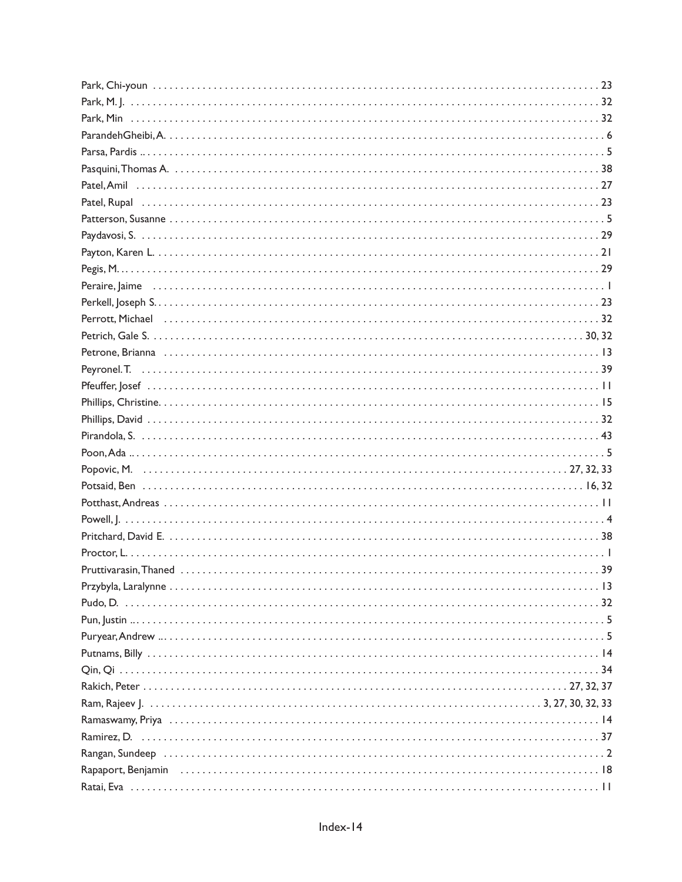| Rapaport, Benjamin (allergianism and allergianism and allergianism and allergianism and allergianism and the R |  |
|----------------------------------------------------------------------------------------------------------------|--|
|                                                                                                                |  |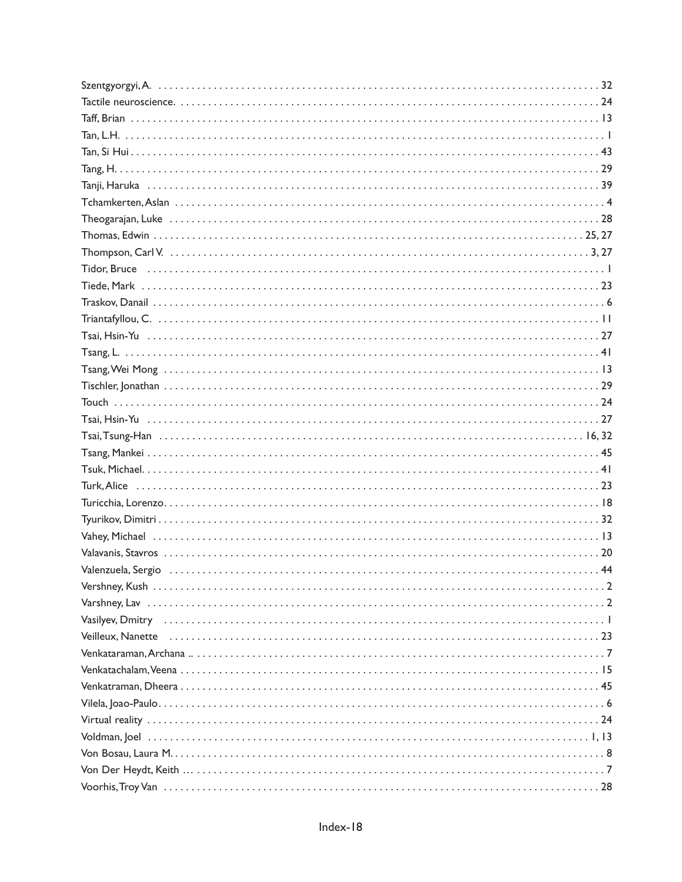| Tsang, Wei Mong |
|-----------------|
|                 |
|                 |
|                 |
|                 |
|                 |
|                 |
|                 |
|                 |
|                 |
|                 |
|                 |
|                 |
|                 |
|                 |
|                 |
|                 |
|                 |
|                 |
|                 |
|                 |
|                 |
|                 |
|                 |
|                 |
|                 |